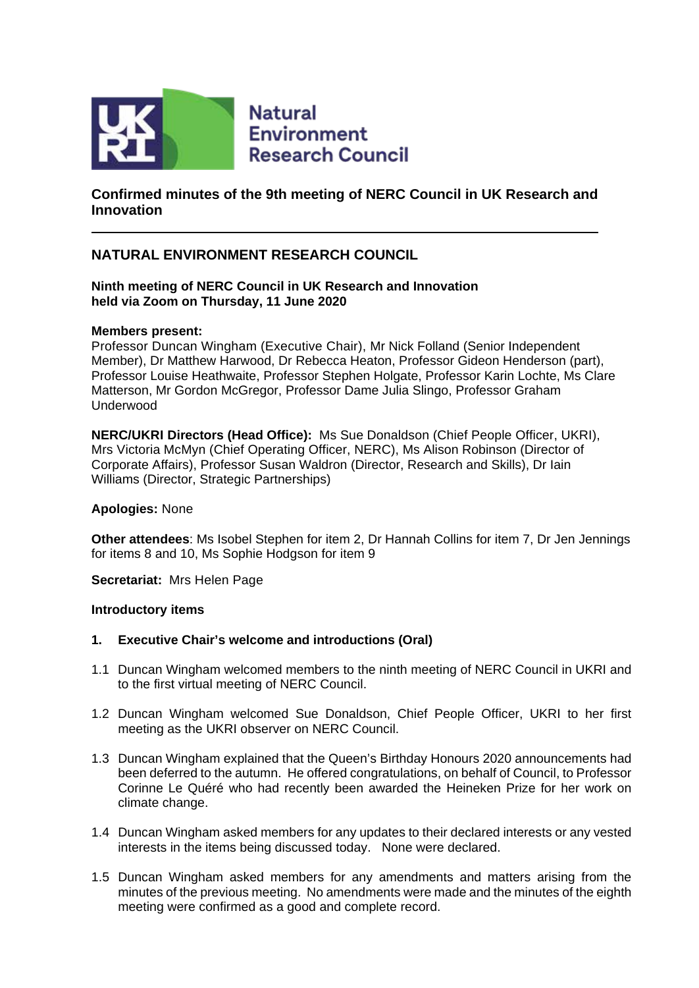

**Natural Environment Research Council** 

# **Confirmed minutes of the 9th meeting of NERC Council in UK Research and Innovation**

# **NATURAL ENVIRONMENT RESEARCH COUNCIL**

**Ninth meeting of NERC Council in UK Research and Innovation held via Zoom on Thursday, 11 June 2020**

#### **Members present:**

Professor Duncan Wingham (Executive Chair), Mr Nick Folland (Senior Independent Member), Dr Matthew Harwood, Dr Rebecca Heaton, Professor Gideon Henderson (part), Professor Louise Heathwaite, Professor Stephen Holgate, Professor Karin Lochte, Ms Clare Matterson, Mr Gordon McGregor, Professor Dame Julia Slingo, Professor Graham Underwood

**NERC/UKRI Directors (Head Office):** Ms Sue Donaldson (Chief People Officer, UKRI), Mrs Victoria McMyn (Chief Operating Officer, NERC), Ms Alison Robinson (Director of Corporate Affairs), Professor Susan Waldron (Director, Research and Skills), Dr Iain Williams (Director, Strategic Partnerships)

#### **Apologies:** None

**Other attendees**: Ms Isobel Stephen for item 2, Dr Hannah Collins for item 7, Dr Jen Jennings for items 8 and 10, Ms Sophie Hodgson for item 9

**Secretariat:** Mrs Helen Page

#### **Introductory items**

- **1. Executive Chair's welcome and introductions (Oral)**
- 1.1 Duncan Wingham welcomed members to the ninth meeting of NERC Council in UKRI and to the first virtual meeting of NERC Council.
- 1.2 Duncan Wingham welcomed Sue Donaldson, Chief People Officer, UKRI to her first meeting as the UKRI observer on NERC Council.
- 1.3 Duncan Wingham explained that the Queen's Birthday Honours 2020 announcements had been deferred to the autumn. He offered congratulations, on behalf of Council, to Professor Corinne Le Quéré who had recently been awarded the Heineken Prize for her work on climate change.
- 1.4 Duncan Wingham asked members for any updates to their declared interests or any vested interests in the items being discussed today. None were declared.
- 1.5 Duncan Wingham asked members for any amendments and matters arising from the minutes of the previous meeting. No amendments were made and the minutes of the eighth meeting were confirmed as a good and complete record.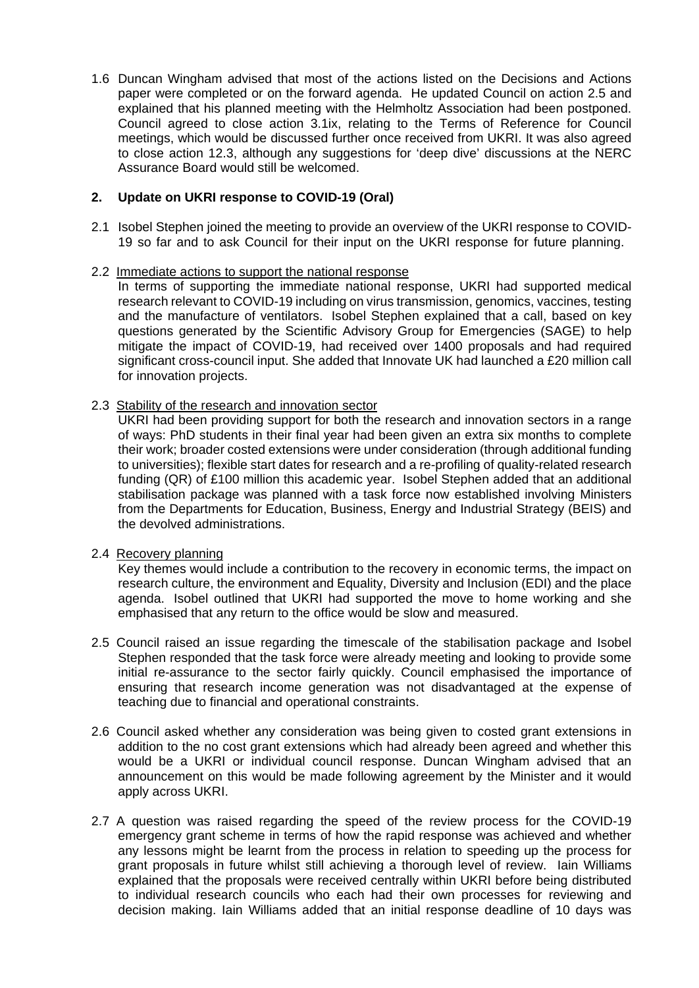1.6 Duncan Wingham advised that most of the actions listed on the Decisions and Actions paper were completed or on the forward agenda. He updated Council on action 2.5 and explained that his planned meeting with the Helmholtz Association had been postponed. Council agreed to close action 3.1ix, relating to the Terms of Reference for Council meetings, which would be discussed further once received from UKRI. It was also agreed to close action 12.3, although any suggestions for 'deep dive' discussions at the NERC Assurance Board would still be welcomed.

# **2. Update on UKRI response to COVID-19 (Oral)**

2.1 Isobel Stephen joined the meeting to provide an overview of the UKRI response to COVID-19 so far and to ask Council for their input on the UKRI response for future planning.

# 2.2 Immediate actions to support the national response

In terms of supporting the immediate national response, UKRI had supported medical research relevant to COVID-19 including on virus transmission, genomics, vaccines, testing and the manufacture of ventilators. Isobel Stephen explained that a call, based on key questions generated by the Scientific Advisory Group for Emergencies (SAGE) to help mitigate the impact of COVID-19, had received over 1400 proposals and had required significant cross-council input. She added that Innovate UK had launched a £20 million call for innovation projects.

#### 2.3 Stability of the research and innovation sector

UKRI had been providing support for both the research and innovation sectors in a range of ways: PhD students in their final year had been given an extra six months to complete their work; broader costed extensions were under consideration (through additional funding to universities); flexible start dates for research and a re-profiling of quality-related research funding (QR) of £100 million this academic year. Isobel Stephen added that an additional stabilisation package was planned with a task force now established involving Ministers from the Departments for Education, Business, Energy and Industrial Strategy (BEIS) and the devolved administrations.

# 2.4 Recovery planning

Key themes would include a contribution to the recovery in economic terms, the impact on research culture, the environment and Equality, Diversity and Inclusion (EDI) and the place agenda. Isobel outlined that UKRI had supported the move to home working and she emphasised that any return to the office would be slow and measured.

- 2.5 Council raised an issue regarding the timescale of the stabilisation package and Isobel Stephen responded that the task force were already meeting and looking to provide some initial re-assurance to the sector fairly quickly. Council emphasised the importance of ensuring that research income generation was not disadvantaged at the expense of teaching due to financial and operational constraints.
- 2.6 Council asked whether any consideration was being given to costed grant extensions in addition to the no cost grant extensions which had already been agreed and whether this would be a UKRI or individual council response. Duncan Wingham advised that an announcement on this would be made following agreement by the Minister and it would apply across UKRI.
- 2.7 A question was raised regarding the speed of the review process for the COVID-19 emergency grant scheme in terms of how the rapid response was achieved and whether any lessons might be learnt from the process in relation to speeding up the process for grant proposals in future whilst still achieving a thorough level of review. Iain Williams explained that the proposals were received centrally within UKRI before being distributed to individual research councils who each had their own processes for reviewing and decision making. Iain Williams added that an initial response deadline of 10 days was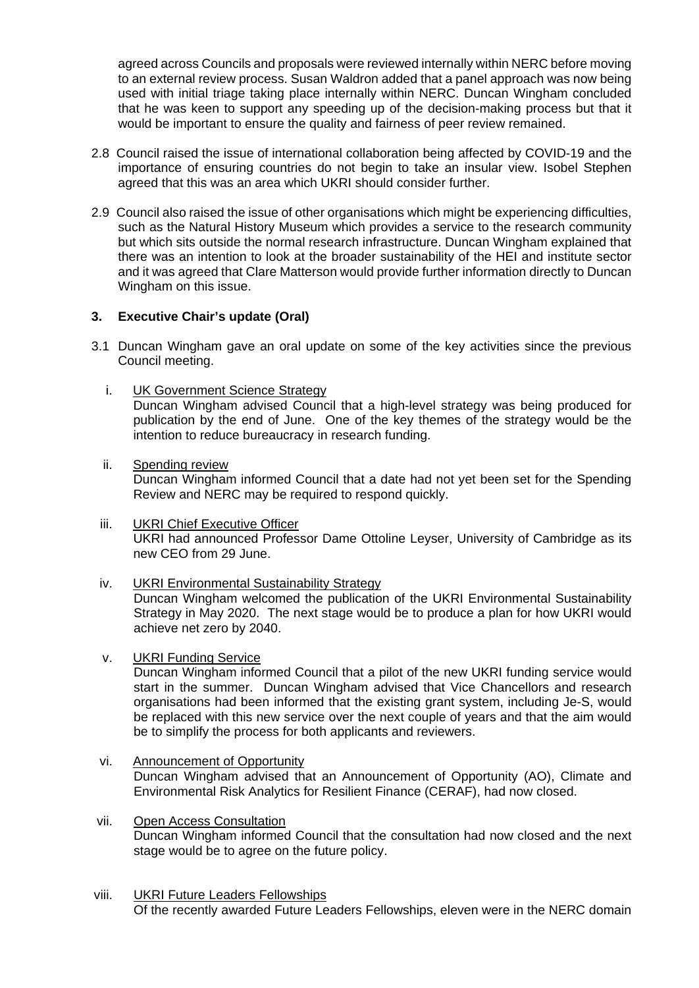agreed across Councils and proposals were reviewed internally within NERC before moving to an external review process. Susan Waldron added that a panel approach was now being used with initial triage taking place internally within NERC. Duncan Wingham concluded that he was keen to support any speeding up of the decision-making process but that it would be important to ensure the quality and fairness of peer review remained.

- 2.8 Council raised the issue of international collaboration being affected by COVID-19 and the importance of ensuring countries do not begin to take an insular view. Isobel Stephen agreed that this was an area which UKRI should consider further.
- 2.9 Council also raised the issue of other organisations which might be experiencing difficulties, such as the Natural History Museum which provides a service to the research community but which sits outside the normal research infrastructure. Duncan Wingham explained that there was an intention to look at the broader sustainability of the HEI and institute sector and it was agreed that Clare Matterson would provide further information directly to Duncan Wingham on this issue.

# **3. Executive Chair's update (Oral)**

- 3.1 Duncan Wingham gave an oral update on some of the key activities since the previous Council meeting.
	- i. **UK Government Science Strategy** Duncan Wingham advised Council that a high-level strategy was being produced for publication by the end of June. One of the key themes of the strategy would be the intention to reduce bureaucracy in research funding.
	- ii. Spending review Duncan Wingham informed Council that a date had not yet been set for the Spending Review and NERC may be required to respond quickly.
	- iii. UKRI Chief Executive Officer UKRI had announced Professor Dame Ottoline Leyser, University of Cambridge as its new CEO from 29 June.
	- iv. UKRI Environmental Sustainability Strategy

Duncan Wingham welcomed the publication of the UKRI Environmental Sustainability Strategy in May 2020. The next stage would be to produce a plan for how UKRI would achieve net zero by 2040.

v. UKRI Funding Service

Duncan Wingham informed Council that a pilot of the new UKRI funding service would start in the summer. Duncan Wingham advised that Vice Chancellors and research organisations had been informed that the existing grant system, including Je-S, would be replaced with this new service over the next couple of years and that the aim would be to simplify the process for both applicants and reviewers.

- vi. Announcement of Opportunity Duncan Wingham advised that an Announcement of Opportunity (AO), Climate and Environmental Risk Analytics for Resilient Finance (CERAF), had now closed.
- vii. Open Access Consultation Duncan Wingham informed Council that the consultation had now closed and the next stage would be to agree on the future policy.
- viii. UKRI Future Leaders Fellowships Of the recently awarded Future Leaders Fellowships, eleven were in the NERC domain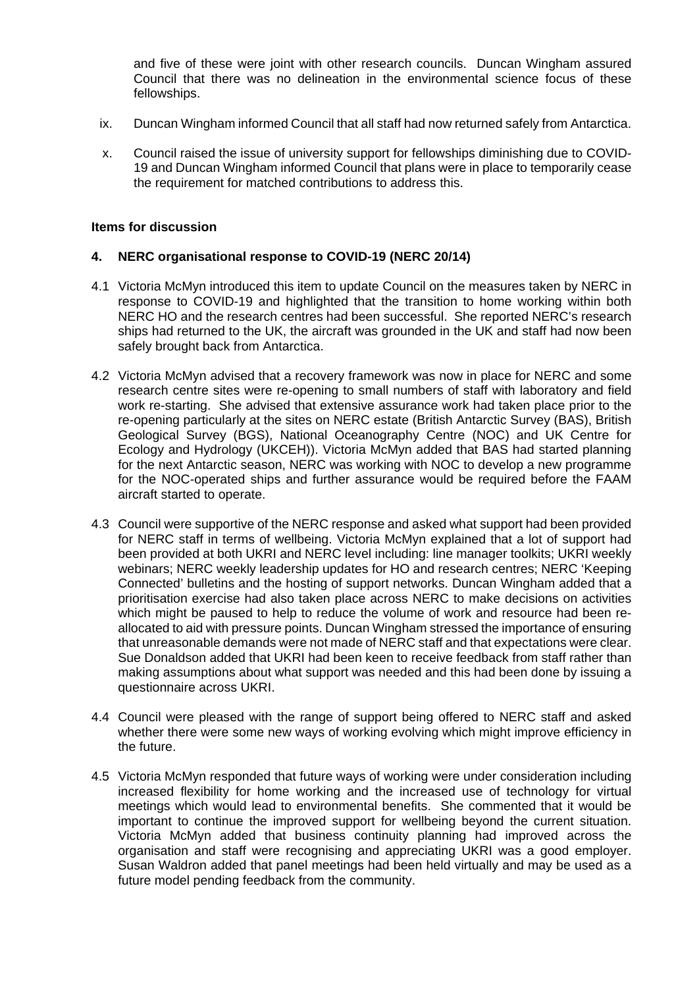and five of these were joint with other research councils. Duncan Wingham assured Council that there was no delineation in the environmental science focus of these fellowships.

- ix. Duncan Wingham informed Council that all staff had now returned safely from Antarctica.
- x. Council raised the issue of university support for fellowships diminishing due to COVID-19 and Duncan Wingham informed Council that plans were in place to temporarily cease the requirement for matched contributions to address this.

#### **Items for discussion**

#### **4. NERC organisational response to COVID-19 (NERC 20/14)**

- 4.1 Victoria McMyn introduced this item to update Council on the measures taken by NERC in response to COVID-19 and highlighted that the transition to home working within both NERC HO and the research centres had been successful. She reported NERC's research ships had returned to the UK, the aircraft was grounded in the UK and staff had now been safely brought back from Antarctica.
- 4.2 Victoria McMyn advised that a recovery framework was now in place for NERC and some research centre sites were re-opening to small numbers of staff with laboratory and field work re-starting. She advised that extensive assurance work had taken place prior to the re-opening particularly at the sites on NERC estate (British Antarctic Survey (BAS), British Geological Survey (BGS), National Oceanography Centre (NOC) and UK Centre for Ecology and Hydrology (UKCEH)). Victoria McMyn added that BAS had started planning for the next Antarctic season, NERC was working with NOC to develop a new programme for the NOC-operated ships and further assurance would be required before the FAAM aircraft started to operate.
- 4.3 Council were supportive of the NERC response and asked what support had been provided for NERC staff in terms of wellbeing. Victoria McMyn explained that a lot of support had been provided at both UKRI and NERC level including: line manager toolkits; UKRI weekly webinars; NERC weekly leadership updates for HO and research centres; NERC 'Keeping Connected' bulletins and the hosting of support networks. Duncan Wingham added that a prioritisation exercise had also taken place across NERC to make decisions on activities which might be paused to help to reduce the volume of work and resource had been reallocated to aid with pressure points. Duncan Wingham stressed the importance of ensuring that unreasonable demands were not made of NERC staff and that expectations were clear. Sue Donaldson added that UKRI had been keen to receive feedback from staff rather than making assumptions about what support was needed and this had been done by issuing a questionnaire across UKRI.
- 4.4 Council were pleased with the range of support being offered to NERC staff and asked whether there were some new ways of working evolving which might improve efficiency in the future.
- 4.5 Victoria McMyn responded that future ways of working were under consideration including increased flexibility for home working and the increased use of technology for virtual meetings which would lead to environmental benefits. She commented that it would be important to continue the improved support for wellbeing beyond the current situation. Victoria McMyn added that business continuity planning had improved across the organisation and staff were recognising and appreciating UKRI was a good employer. Susan Waldron added that panel meetings had been held virtually and may be used as a future model pending feedback from the community.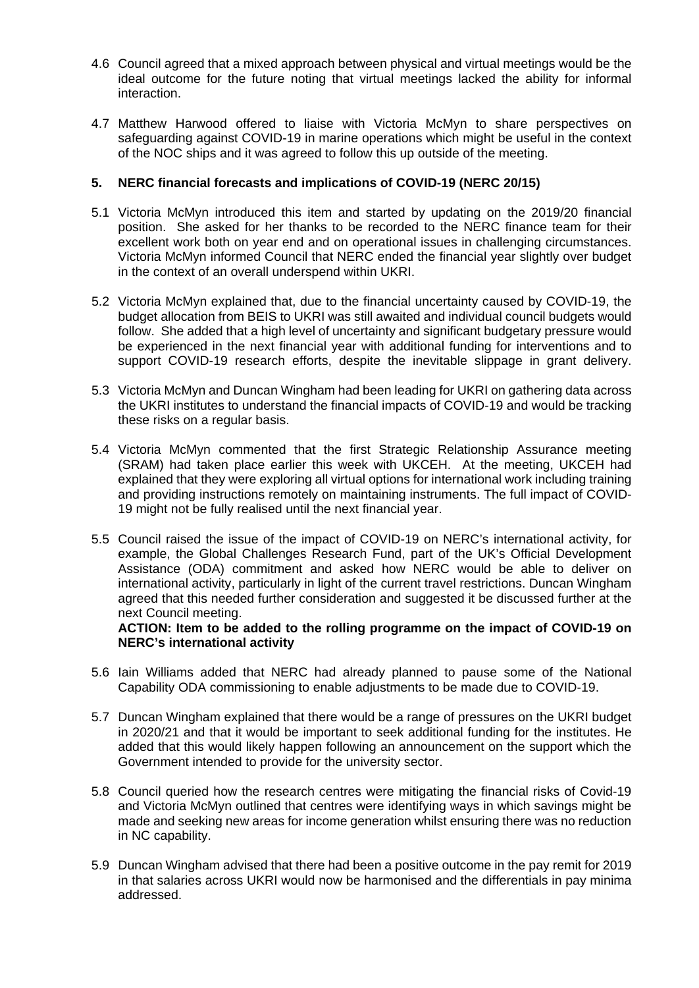- 4.6 Council agreed that a mixed approach between physical and virtual meetings would be the ideal outcome for the future noting that virtual meetings lacked the ability for informal interaction.
- 4.7 Matthew Harwood offered to liaise with Victoria McMyn to share perspectives on safeguarding against COVID-19 in marine operations which might be useful in the context of the NOC ships and it was agreed to follow this up outside of the meeting.

# **5. NERC financial forecasts and implications of COVID-19 (NERC 20/15)**

- 5.1 Victoria McMyn introduced this item and started by updating on the 2019/20 financial position. She asked for her thanks to be recorded to the NERC finance team for their excellent work both on year end and on operational issues in challenging circumstances. Victoria McMyn informed Council that NERC ended the financial year slightly over budget in the context of an overall underspend within UKRI.
- 5.2 Victoria McMyn explained that, due to the financial uncertainty caused by COVID-19, the budget allocation from BEIS to UKRI was still awaited and individual council budgets would follow. She added that a high level of uncertainty and significant budgetary pressure would be experienced in the next financial year with additional funding for interventions and to support COVID-19 research efforts, despite the inevitable slippage in grant delivery.
- 5.3 Victoria McMyn and Duncan Wingham had been leading for UKRI on gathering data across the UKRI institutes to understand the financial impacts of COVID-19 and would be tracking these risks on a regular basis.
- 5.4 Victoria McMyn commented that the first Strategic Relationship Assurance meeting (SRAM) had taken place earlier this week with UKCEH. At the meeting, UKCEH had explained that they were exploring all virtual options for international work including training and providing instructions remotely on maintaining instruments. The full impact of COVID-19 might not be fully realised until the next financial year.
- 5.5 Council raised the issue of the impact of COVID-19 on NERC's international activity, for example, the Global Challenges Research Fund, part of the UK's Official Development Assistance (ODA) commitment and asked how NERC would be able to deliver on international activity, particularly in light of the current travel restrictions. Duncan Wingham agreed that this needed further consideration and suggested it be discussed further at the next Council meeting.

# **ACTION: Item to be added to the rolling programme on the impact of COVID-19 on NERC's international activity**

- 5.6 Iain Williams added that NERC had already planned to pause some of the National Capability ODA commissioning to enable adjustments to be made due to COVID-19.
- 5.7 Duncan Wingham explained that there would be a range of pressures on the UKRI budget in 2020/21 and that it would be important to seek additional funding for the institutes. He added that this would likely happen following an announcement on the support which the Government intended to provide for the university sector.
- 5.8 Council queried how the research centres were mitigating the financial risks of Covid-19 and Victoria McMyn outlined that centres were identifying ways in which savings might be made and seeking new areas for income generation whilst ensuring there was no reduction in NC capability.
- 5.9 Duncan Wingham advised that there had been a positive outcome in the pay remit for 2019 in that salaries across UKRI would now be harmonised and the differentials in pay minima addressed.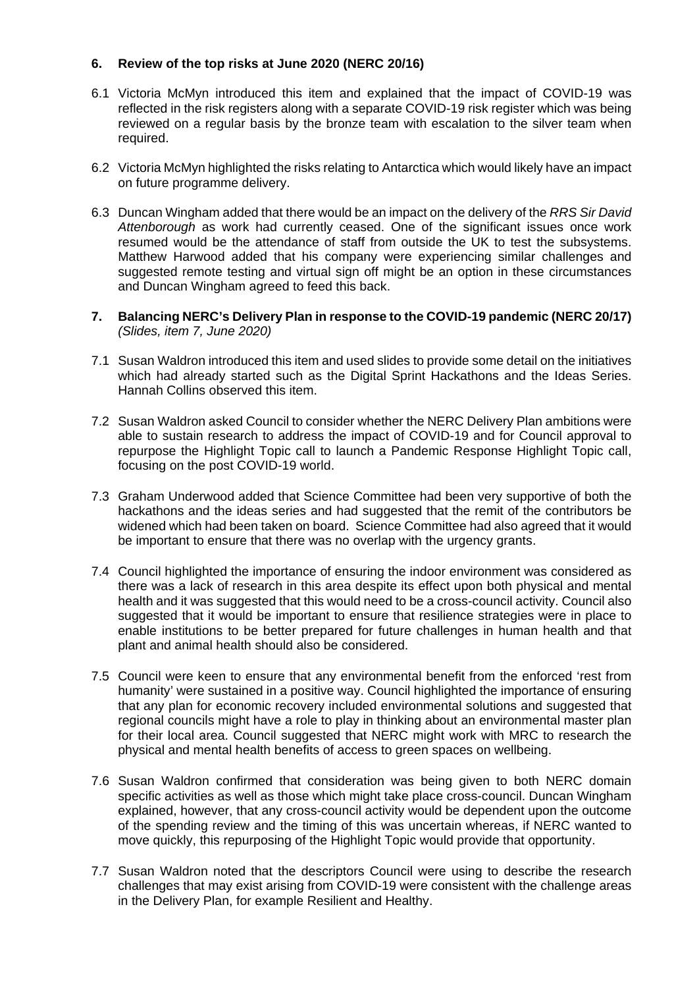# **6. Review of the top risks at June 2020 (NERC 20/16)**

- 6.1 Victoria McMyn introduced this item and explained that the impact of COVID-19 was reflected in the risk registers along with a separate COVID-19 risk register which was being reviewed on a regular basis by the bronze team with escalation to the silver team when required.
- 6.2 Victoria McMyn highlighted the risks relating to Antarctica which would likely have an impact on future programme delivery.
- 6.3 Duncan Wingham added that there would be an impact on the delivery of the *RRS Sir David Attenborough* as work had currently ceased. One of the significant issues once work resumed would be the attendance of staff from outside the UK to test the subsystems. Matthew Harwood added that his company were experiencing similar challenges and suggested remote testing and virtual sign off might be an option in these circumstances and Duncan Wingham agreed to feed this back.
- **7. Balancing NERC's Delivery Plan in response to the COVID-19 pandemic (NERC 20/17)** *(Slides, item 7, June 2020)*
- 7.1 Susan Waldron introduced this item and used slides to provide some detail on the initiatives which had already started such as the Digital Sprint Hackathons and the Ideas Series. Hannah Collins observed this item.
- 7.2 Susan Waldron asked Council to consider whether the NERC Delivery Plan ambitions were able to sustain research to address the impact of COVID-19 and for Council approval to repurpose the Highlight Topic call to launch a Pandemic Response Highlight Topic call, focusing on the post COVID-19 world.
- 7.3 Graham Underwood added that Science Committee had been very supportive of both the hackathons and the ideas series and had suggested that the remit of the contributors be widened which had been taken on board. Science Committee had also agreed that it would be important to ensure that there was no overlap with the urgency grants.
- 7.4 Council highlighted the importance of ensuring the indoor environment was considered as there was a lack of research in this area despite its effect upon both physical and mental health and it was suggested that this would need to be a cross-council activity. Council also suggested that it would be important to ensure that resilience strategies were in place to enable institutions to be better prepared for future challenges in human health and that plant and animal health should also be considered.
- 7.5 Council were keen to ensure that any environmental benefit from the enforced 'rest from humanity' were sustained in a positive way. Council highlighted the importance of ensuring that any plan for economic recovery included environmental solutions and suggested that regional councils might have a role to play in thinking about an environmental master plan for their local area. Council suggested that NERC might work with MRC to research the physical and mental health benefits of access to green spaces on wellbeing.
- 7.6 Susan Waldron confirmed that consideration was being given to both NERC domain specific activities as well as those which might take place cross-council. Duncan Wingham explained, however, that any cross-council activity would be dependent upon the outcome of the spending review and the timing of this was uncertain whereas, if NERC wanted to move quickly, this repurposing of the Highlight Topic would provide that opportunity.
- 7.7 Susan Waldron noted that the descriptors Council were using to describe the research challenges that may exist arising from COVID-19 were consistent with the challenge areas in the Delivery Plan, for example Resilient and Healthy.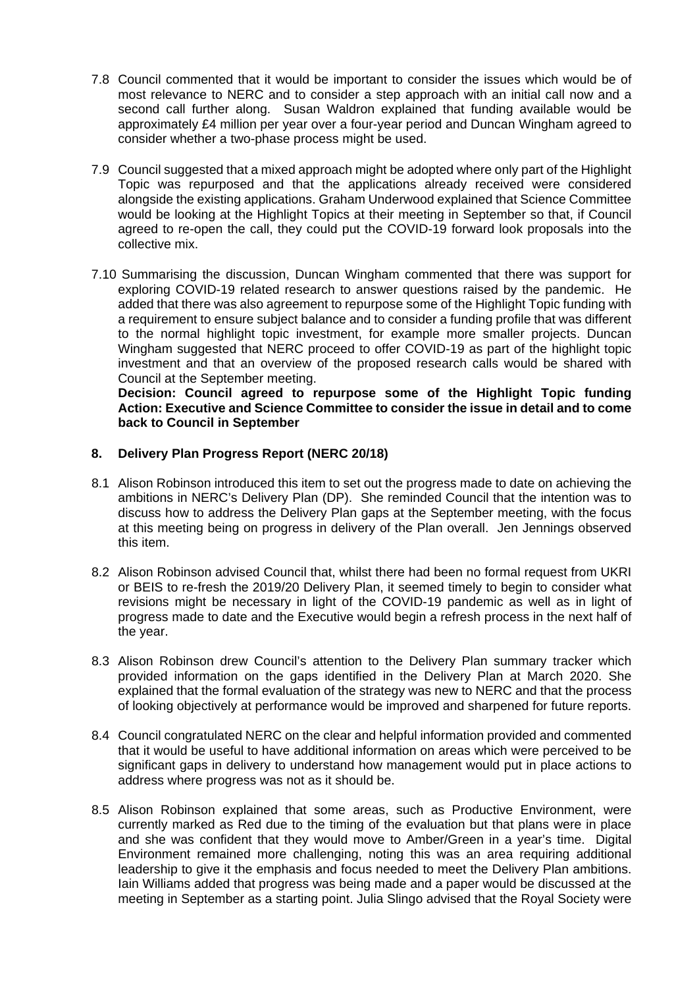- 7.8 Council commented that it would be important to consider the issues which would be of most relevance to NERC and to consider a step approach with an initial call now and a second call further along. Susan Waldron explained that funding available would be approximately £4 million per year over a four-year period and Duncan Wingham agreed to consider whether a two-phase process might be used.
- 7.9 Council suggested that a mixed approach might be adopted where only part of the Highlight Topic was repurposed and that the applications already received were considered alongside the existing applications. Graham Underwood explained that Science Committee would be looking at the Highlight Topics at their meeting in September so that, if Council agreed to re-open the call, they could put the COVID-19 forward look proposals into the collective mix.
- 7.10 Summarising the discussion, Duncan Wingham commented that there was support for exploring COVID-19 related research to answer questions raised by the pandemic. He added that there was also agreement to repurpose some of the Highlight Topic funding with a requirement to ensure subject balance and to consider a funding profile that was different to the normal highlight topic investment, for example more smaller projects. Duncan Wingham suggested that NERC proceed to offer COVID-19 as part of the highlight topic investment and that an overview of the proposed research calls would be shared with Council at the September meeting.

**Decision: Council agreed to repurpose some of the Highlight Topic funding Action: Executive and Science Committee to consider the issue in detail and to come back to Council in September** 

#### **8. Delivery Plan Progress Report (NERC 20/18)**

- 8.1 Alison Robinson introduced this item to set out the progress made to date on achieving the ambitions in NERC's Delivery Plan (DP). She reminded Council that the intention was to discuss how to address the Delivery Plan gaps at the September meeting, with the focus at this meeting being on progress in delivery of the Plan overall. Jen Jennings observed this item.
- 8.2 Alison Robinson advised Council that, whilst there had been no formal request from UKRI or BEIS to re-fresh the 2019/20 Delivery Plan, it seemed timely to begin to consider what revisions might be necessary in light of the COVID-19 pandemic as well as in light of progress made to date and the Executive would begin a refresh process in the next half of the year.
- 8.3 Alison Robinson drew Council's attention to the Delivery Plan summary tracker which provided information on the gaps identified in the Delivery Plan at March 2020. She explained that the formal evaluation of the strategy was new to NERC and that the process of looking objectively at performance would be improved and sharpened for future reports.
- 8.4 Council congratulated NERC on the clear and helpful information provided and commented that it would be useful to have additional information on areas which were perceived to be significant gaps in delivery to understand how management would put in place actions to address where progress was not as it should be.
- 8.5 Alison Robinson explained that some areas, such as Productive Environment, were currently marked as Red due to the timing of the evaluation but that plans were in place and she was confident that they would move to Amber/Green in a year's time. Digital Environment remained more challenging, noting this was an area requiring additional leadership to give it the emphasis and focus needed to meet the Delivery Plan ambitions. Iain Williams added that progress was being made and a paper would be discussed at the meeting in September as a starting point. Julia Slingo advised that the Royal Society were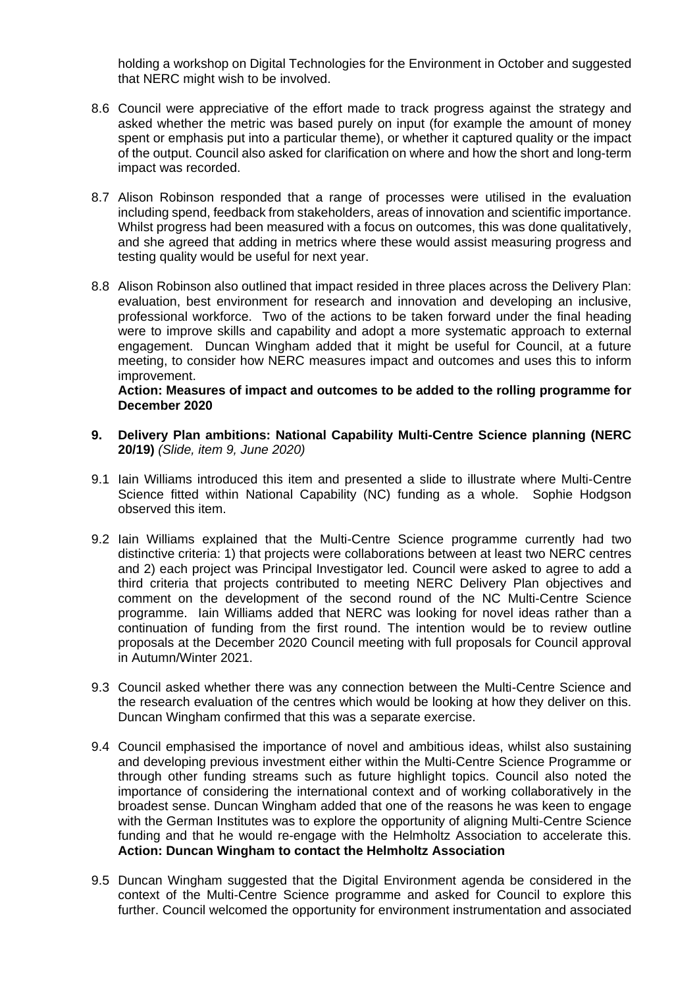holding a workshop on Digital Technologies for the Environment in October and suggested that NERC might wish to be involved.

- 8.6 Council were appreciative of the effort made to track progress against the strategy and asked whether the metric was based purely on input (for example the amount of money spent or emphasis put into a particular theme), or whether it captured quality or the impact of the output. Council also asked for clarification on where and how the short and long-term impact was recorded.
- 8.7 Alison Robinson responded that a range of processes were utilised in the evaluation including spend, feedback from stakeholders, areas of innovation and scientific importance. Whilst progress had been measured with a focus on outcomes, this was done qualitatively, and she agreed that adding in metrics where these would assist measuring progress and testing quality would be useful for next year.
- 8.8 Alison Robinson also outlined that impact resided in three places across the Delivery Plan: evaluation, best environment for research and innovation and developing an inclusive, professional workforce. Two of the actions to be taken forward under the final heading were to improve skills and capability and adopt a more systematic approach to external engagement. Duncan Wingham added that it might be useful for Council, at a future meeting, to consider how NERC measures impact and outcomes and uses this to inform improvement.

#### **Action: Measures of impact and outcomes to be added to the rolling programme for December 2020**

- **9. Delivery Plan ambitions: National Capability Multi-Centre Science planning (NERC 20/19)** *(Slide, item 9, June 2020)*
- 9.1 Iain Williams introduced this item and presented a slide to illustrate where Multi-Centre Science fitted within National Capability (NC) funding as a whole. Sophie Hodgson observed this item.
- 9.2 Iain Williams explained that the Multi-Centre Science programme currently had two distinctive criteria: 1) that projects were collaborations between at least two NERC centres and 2) each project was Principal Investigator led. Council were asked to agree to add a third criteria that projects contributed to meeting NERC Delivery Plan objectives and comment on the development of the second round of the NC Multi-Centre Science programme. Iain Williams added that NERC was looking for novel ideas rather than a continuation of funding from the first round. The intention would be to review outline proposals at the December 2020 Council meeting with full proposals for Council approval in Autumn/Winter 2021.
- 9.3 Council asked whether there was any connection between the Multi-Centre Science and the research evaluation of the centres which would be looking at how they deliver on this. Duncan Wingham confirmed that this was a separate exercise.
- 9.4 Council emphasised the importance of novel and ambitious ideas, whilst also sustaining and developing previous investment either within the Multi-Centre Science Programme or through other funding streams such as future highlight topics. Council also noted the importance of considering the international context and of working collaboratively in the broadest sense. Duncan Wingham added that one of the reasons he was keen to engage with the German Institutes was to explore the opportunity of aligning Multi-Centre Science funding and that he would re-engage with the Helmholtz Association to accelerate this. **Action: Duncan Wingham to contact the Helmholtz Association**
- 9.5 Duncan Wingham suggested that the Digital Environment agenda be considered in the context of the Multi-Centre Science programme and asked for Council to explore this further. Council welcomed the opportunity for environment instrumentation and associated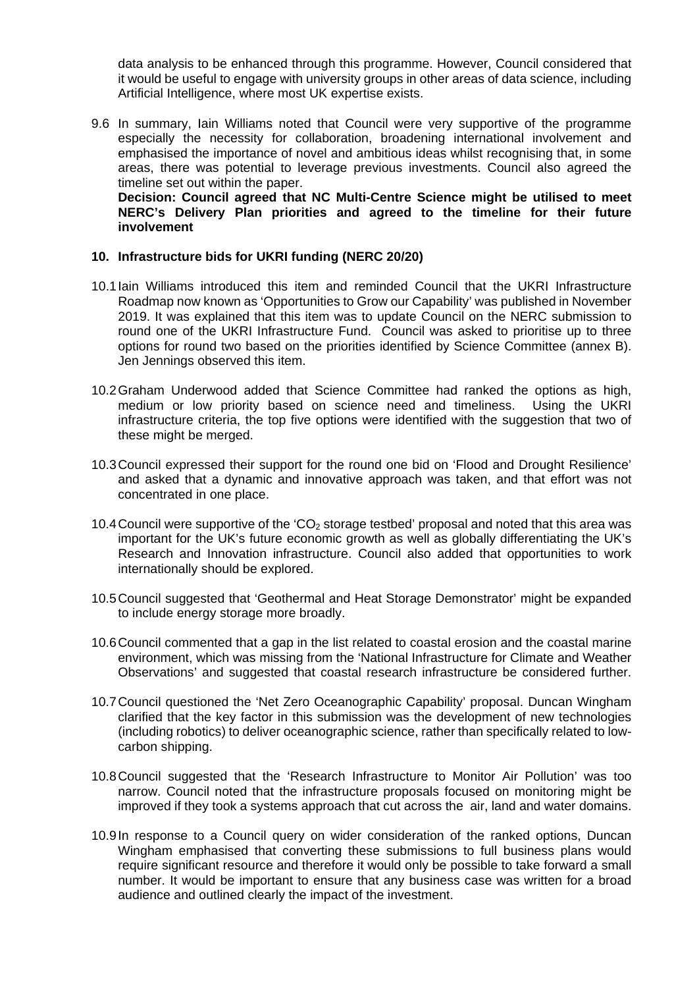data analysis to be enhanced through this programme. However, Council considered that it would be useful to engage with university groups in other areas of data science, including Artificial Intelligence, where most UK expertise exists.

9.6 In summary, Iain Williams noted that Council were very supportive of the programme especially the necessity for collaboration, broadening international involvement and emphasised the importance of novel and ambitious ideas whilst recognising that, in some areas, there was potential to leverage previous investments. Council also agreed the timeline set out within the paper.

**Decision: Council agreed that NC Multi-Centre Science might be utilised to meet NERC's Delivery Plan priorities and agreed to the timeline for their future involvement**

#### **10. Infrastructure bids for UKRI funding (NERC 20/20)**

- 10.1Iain Williams introduced this item and reminded Council that the UKRI Infrastructure Roadmap now known as 'Opportunities to Grow our Capability' was published in November 2019. It was explained that this item was to update Council on the NERC submission to round one of the UKRI Infrastructure Fund. Council was asked to prioritise up to three options for round two based on the priorities identified by Science Committee (annex B). Jen Jennings observed this item.
- 10.2Graham Underwood added that Science Committee had ranked the options as high, medium or low priority based on science need and timeliness. Using the UKRI infrastructure criteria, the top five options were identified with the suggestion that two of these might be merged.
- 10.3Council expressed their support for the round one bid on 'Flood and Drought Resilience' and asked that a dynamic and innovative approach was taken, and that effort was not concentrated in one place.
- 10.4 Council were supportive of the 'CO<sub>2</sub> storage testbed' proposal and noted that this area was important for the UK's future economic growth as well as globally differentiating the UK's Research and Innovation infrastructure. Council also added that opportunities to work internationally should be explored.
- 10.5Council suggested that 'Geothermal and Heat Storage Demonstrator' might be expanded to include energy storage more broadly.
- 10.6Council commented that a gap in the list related to coastal erosion and the coastal marine environment, which was missing from the 'National Infrastructure for Climate and Weather Observations' and suggested that coastal research infrastructure be considered further.
- 10.7Council questioned the 'Net Zero Oceanographic Capability' proposal. Duncan Wingham clarified that the key factor in this submission was the development of new technologies (including robotics) to deliver oceanographic science, rather than specifically related to lowcarbon shipping.
- 10.8Council suggested that the 'Research Infrastructure to Monitor Air Pollution' was too narrow. Council noted that the infrastructure proposals focused on monitoring might be improved if they took a systems approach that cut across the air, land and water domains.
- 10.9In response to a Council query on wider consideration of the ranked options, Duncan Wingham emphasised that converting these submissions to full business plans would require significant resource and therefore it would only be possible to take forward a small number. It would be important to ensure that any business case was written for a broad audience and outlined clearly the impact of the investment.